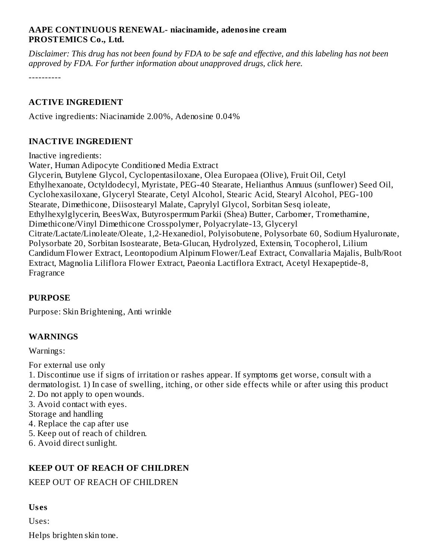#### **AAPE CONTINUOUS RENEWAL- niacinamide, adenosine cream PROSTEMICS Co., Ltd.**

Disclaimer: This drug has not been found by FDA to be safe and effective, and this labeling has not been *approved by FDA. For further information about unapproved drugs, click here.*

----------

#### **ACTIVE INGREDIENT**

Active ingredients: Niacinamide 2.00%, Adenosine 0.04%

#### **INACTIVE INGREDIENT**

Inactive ingredients:

Water, Human Adipocyte Conditioned Media Extract Glycerin, Butylene Glycol, Cyclopentasiloxane, Olea Europaea (Olive), Fruit Oil, Cetyl Ethylhexanoate, Octyldodecyl, Myristate, PEG-40 Stearate, Helianthus Annuus (sunflower) Seed Oil, Cyclohexasiloxane, Glyceryl Stearate, Cetyl Alcohol, Stearic Acid, Stearyl Alcohol, PEG-100 Stearate, Dimethicone, Diisostearyl Malate, Caprylyl Glycol, Sorbitan Sesq ioleate, Ethylhexylglycerin, BeesWax, Butyrospermum Parkii (Shea) Butter, Carbomer, Tromethamine, Dimethicone/Vinyl Dimethicone Crosspolymer, Polyacrylate-13, Glyceryl Citrate/Lactate/Linoleate/Oleate, 1,2-Hexanediol, Polyisobutene, Polysorbate 60, Sodium Hyaluronate, Polysorbate 20, Sorbitan Isostearate, Beta-Glucan, Hydrolyzed, Extensin, Tocopherol, Lilium Candidum Flower Extract, Leontopodium Alpinum Flower/Leaf Extract, Convallaria Majalis, Bulb/Root Extract, Magnolia Liliflora Flower Extract, Paeonia Lactiflora Extract, Acetyl Hexapeptide-8, Fragrance

#### **PURPOSE**

Purpose: Skin Brightening, Anti wrinkle

# **WARNINGS**

Warnings:

For external use only

1. Discontinue use if signs of irritation or rashes appear. If symptoms get worse, consult with a dermatologist. 1) In case of swelling, itching, or other side effects while or after using this product 2. Do not apply to open wounds.

- 3. Avoid contact with eyes.
- Storage and handling
- 4. Replace the cap after use
- 5. Keep out of reach of children.
- 6. Avoid direct sunlight.

# **KEEP OUT OF REACH OF CHILDREN**

#### KEEP OUT OF REACH OF CHILDREN

#### **Us es**

Uses: Helps brighten skin tone.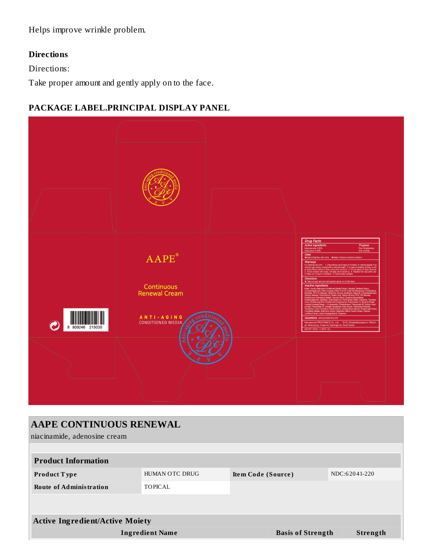Helps improve wrinkle problem.

# **Directions**

Directions:

Take proper amount and gently apply on to the face.

# **PACKAGE LABEL.PRINCIPAL DISPLAY PANEL**



| <b>AAPE CONTINUOUS RENEWAL</b>         |                        |                    |                          |               |                 |  |  |  |  |  |  |
|----------------------------------------|------------------------|--------------------|--------------------------|---------------|-----------------|--|--|--|--|--|--|
| niacinamide, adenosine cream           |                        |                    |                          |               |                 |  |  |  |  |  |  |
|                                        |                        |                    |                          |               |                 |  |  |  |  |  |  |
| <b>Product Information</b>             |                        |                    |                          |               |                 |  |  |  |  |  |  |
| Product Type                           | <b>HUMAN OTC DRUG</b>  | Item Code (Source) |                          | NDC:62041-220 |                 |  |  |  |  |  |  |
| <b>Route of Administration</b>         | <b>TOPICAL</b>         |                    |                          |               |                 |  |  |  |  |  |  |
|                                        |                        |                    |                          |               |                 |  |  |  |  |  |  |
| <b>Active Ingredient/Active Moiety</b> |                        |                    |                          |               |                 |  |  |  |  |  |  |
|                                        | <b>Ingredient Name</b> |                    | <b>Basis of Strength</b> |               | <b>Strength</b> |  |  |  |  |  |  |